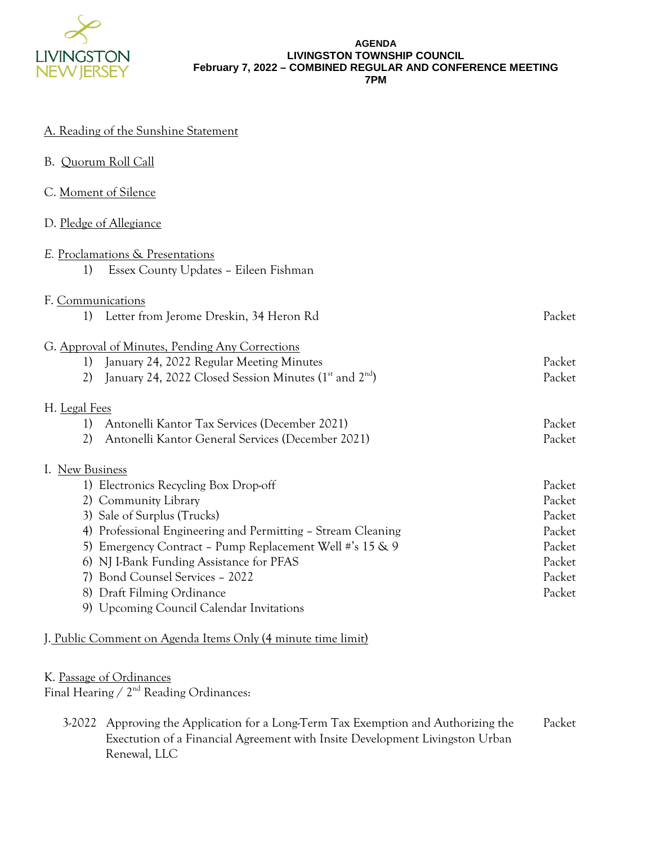

#### **AGENDA LIVINGSTON TOWNSHIP COUNCIL February 7, 2022 – COMBINED REGULAR AND CONFERENCE MEETING 7PM**

#### A. Reading of the Sunshine Statement

| B. Quorum Roll Call |  |
|---------------------|--|
|                     |  |

C. Moment of Silence

### D. Pledge of Allegiance

| E. Proclamations & Presentations |                                                              |        |
|----------------------------------|--------------------------------------------------------------|--------|
| 1)                               | Essex County Updates - Eileen Fishman                        |        |
|                                  |                                                              |        |
| F. Communications                |                                                              |        |
| 1)                               | Letter from Jerome Dreskin, 34 Heron Rd                      | Packet |
|                                  |                                                              |        |
|                                  | G. Approval of Minutes, Pending Any Corrections              |        |
| 1)                               | January 24, 2022 Regular Meeting Minutes                     | Packet |
| 2)                               | January 24, 2022 Closed Session Minutes $(1st$ and $2nd)$    | Packet |
|                                  |                                                              |        |
| <u>H. Legal Fees</u>             |                                                              |        |
| 1)                               | Antonelli Kantor Tax Services (December 2021)                | Packet |
| 2)                               | Antonelli Kantor General Services (December 2021)            | Packet |
| I. New Business                  |                                                              |        |
|                                  | 1) Electronics Recycling Box Drop-off                        | Packet |
|                                  |                                                              | Packet |
| 2) Community Library             |                                                              |        |
| 3) Sale of Surplus (Trucks)      |                                                              | Packet |
|                                  | 4) Professional Engineering and Permitting - Stream Cleaning | Packet |
|                                  | 5) Emergency Contract - Pump Replacement Well #'s 15 & 9     | Packet |
|                                  | 6) NJ I-Bank Funding Assistance for PFAS                     | Packet |
|                                  | 7) Bond Counsel Services - 2022                              | Packet |
| 8) Draft Filming Ordinance       |                                                              | Packet |
|                                  | 9) Upcoming Council Calendar Invitations                     |        |

J. Public Comment on Agenda Items Only (4 minute time limit)

### K. Passage of Ordinances

Final Hearing / 2<sup>nd</sup> Reading Ordinances:

3-2022 Approving the Application for a Long-Term Tax Exemption and Authorizing the Exectution of a Financial Agreement with Insite Development Livingston Urban Renewal, LLC Packet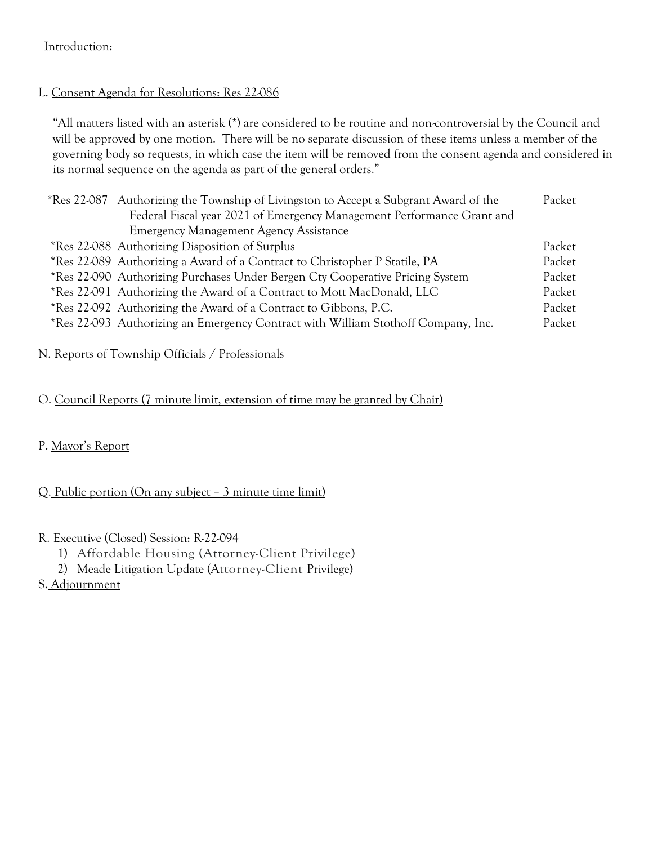# Introduction:

# L. Consent Agenda for Resolutions: Res 22-086

"All matters listed with an asterisk (\*) are considered to be routine and non-controversial by the Council and will be approved by one motion. There will be no separate discussion of these items unless a member of the governing body so requests, in which case the item will be removed from the consent agenda and considered in its normal sequence on the agenda as part of the general orders."

| Authorizing the Township of Livingston to Accept a Subgrant Award of the<br>*Res 22-087<br>Federal Fiscal year 2021 of Emergency Management Performance Grant and | Packet |
|-------------------------------------------------------------------------------------------------------------------------------------------------------------------|--------|
| <b>Emergency Management Agency Assistance</b>                                                                                                                     |        |
| *Res 22-088 Authorizing Disposition of Surplus                                                                                                                    | Packet |
| *Res 22-089 Authorizing a Award of a Contract to Christopher P Statile, PA                                                                                        | Packet |
| *Res 22-090 Authorizing Purchases Under Bergen Cty Cooperative Pricing System                                                                                     | Packet |
| *Res 22-091 Authorizing the Award of a Contract to Mott MacDonald, LLC                                                                                            | Packet |
|                                                                                                                                                                   |        |
| *Res 22-092 Authorizing the Award of a Contract to Gibbons, P.C.                                                                                                  | Packet |
| *Res 22-093 Authorizing an Emergency Contract with William Stothoff Company, Inc.                                                                                 | Packet |

# N. Reports of Township Officials / Professionals

# O. Council Reports (7 minute limit, extension of time may be granted by Chair)

# P. Mayor's Report

# Q. Public portion (On any subject – 3 minute time limit)

# R. Executive (Closed) Session: R-22-094

- 1) Affordable Housing (Attorney-Client Privilege)
- 2) Meade Litigation Update (Attorney-Client Privilege)
- S. Adjournment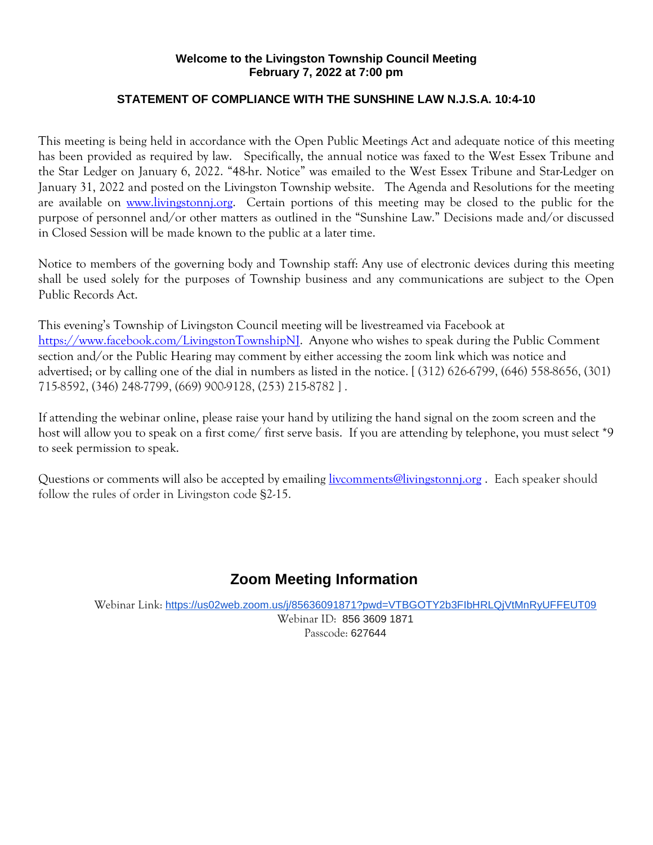#### **Welcome to the Livingston Township Council Meeting February 7, 2022 at 7:00 pm**

### **STATEMENT OF COMPLIANCE WITH THE SUNSHINE LAW N.J.S.A. 10:4-10**

This meeting is being held in accordance with the Open Public Meetings Act and adequate notice of this meeting has been provided as required by law. Specifically, the annual notice was faxed to the West Essex Tribune and the Star Ledger on January 6, 2022. "48-hr. Notice" was emailed to the West Essex Tribune and Star-Ledger on January 31, 2022 and posted on the Livingston Township website. The Agenda and Resolutions for the meeting are available on www.livingstonni.org. Certain portions of this meeting may be closed to the public for the purpose of personnel and/or other matters as outlined in the "Sunshine Law." Decisions made and/or discussed in Closed Session will be made known to the public at a later time.

Notice to members of the governing body and Township staff: Any use of electronic devices during this meeting shall be used solely for the purposes of Township business and any communications are subject to the Open Public Records Act.

This evening's Township of Livingston Council meeting will be livestreamed via Facebook at [https://www.facebook.com/LivingstonTownshipNJ.](https://www.facebook.com/LivingstonTownshipNJ) Anyone who wishes to speak during the Public Comment section and/or the Public Hearing may comment by either accessing the zoom link which was notice and advertised; or by calling one of the dial in numbers as listed in the notice. [ (312) 626-6799, (646) 558-8656, (301) 715-8592, (346) 248-7799, (669) 900-9128, (253) 215-8782 ] .

If attending the webinar online, please raise your hand by utilizing the hand signal on the zoom screen and the host will allow you to speak on a first come/ first serve basis. If you are attending by telephone, you must select \*9 to seek permission to speak.

Questions or comments will also be accepted by emailing *livcomments@livingstonnj.org* . Each speaker should follow the rules of order in Livingston code §2-15.

# **Zoom Meeting Information**

Webinar Link: <https://us02web.zoom.us/j/85636091871?pwd=VTBGOTY2b3FIbHRLQjVtMnRyUFFEUT09>

Webinar ID: 856 3609 1871 Passcode: 627644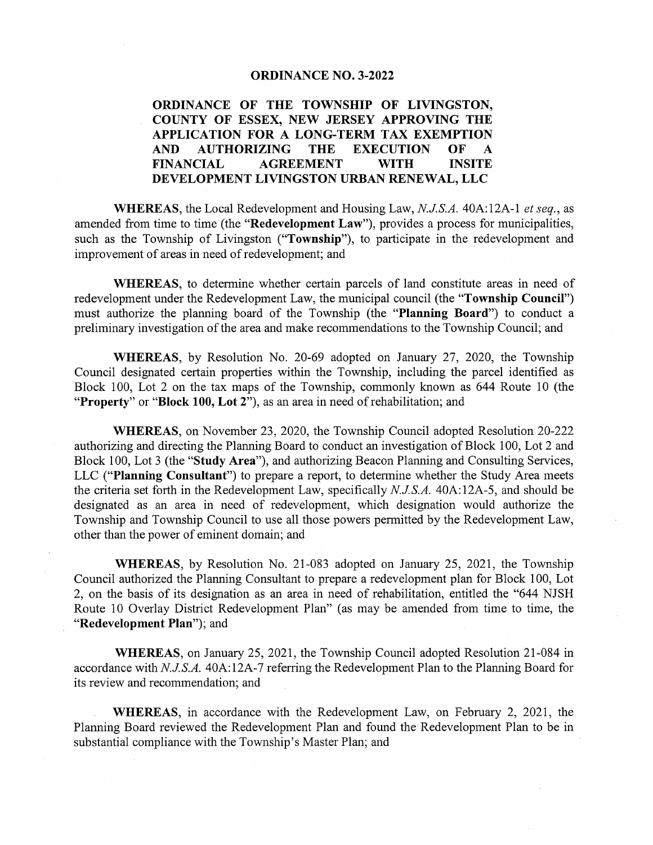#### ORDINANCE NO. 3-2022

ORDINANCE OF THE TOWNSHIP OF LIVINGSTON, COUNTY OF ESSEX, NEW JERSEY APPROVING THE APPLICATION FOR A LONG-TERM TAX EXEMPTION AND AUTHORIZING THE EXECUTION OF A FINANCIAL AGREEMENT WITH INSITE DEVELOPMENT LIVINGSTON URBAN RENEWAL, LLC

WHEREAS, the Local Redevelopment and Housing Law, N.J.S.A. 40A:12A-1 et seq., as amended from time to time (the "Redevelopment Law"), provides a process for municipalities, such as the Township of Livingston ("Township"), to participate in the redevelopment and improvement of areas in need of redevelopment; and

WHEREAS, to determine whether certain parcels of land constitute areas in need of redevelopment under the Redevelopment Law, the municipal council (the "Township Council") must authorize the planning board of the Township (the "Planning Board") to conduct <sup>a</sup> preliminary investigation of the area and make recommendations to the Township Council; and

WHEREAS, by Resolution No. 20-69 adopted on January 27, 2020, the Township Council designated certain properties within the Township, including the parcel identified as Block 100, Lot 2 on the tax maps of the Township, commonly known as 644 Route 10 (the "Property" or "Block 100, Lot 2"), as an area in need of rehabilitation; and

WHEREAS, on November 23, 2020, the Township Council adopted Resolution 20-222 authorizing and directing the Planning Board to conduct an investigation of Block 100, Lot 2 and Block 100, Lot <sup>3</sup> (the "Study Area"), and authorizing Beacon Planning and Consulting Services, LLC ("Planning Consultant") to prepare a report, to determine whether the Study Area meets the criteria set forth in the Redevelopment Law, specifically N.J.S.A. 40A:12A-5, and should be designated as an area in need of redevelopment, which designation would authorize the Township and Township Council to use all those powers permitted by the Redevelopment Law, other than the power of eminent domain; and

WHEREAS, by Resolution No. 21-083 adopted on January 25, 2021, the Township Council authorized the Planning Consultant to prepare a redevelopment plan for Block 100, Lot 2, on the basis of its designation as an area in need of rehabilitation, entitled the "644 NJSH Route 10 Overlay District Redevelopment Plan" (as may be amended from time to time, the "Redevelopment Plan"); and

WHEREAS, on January 25, 2021, the Township Council adopted Resolution 21-084 in accordance with NJS.A. 40A:12A-7 referring the Redevelopment Plan to the Planning Board for its review and recommendation; and

WHEREAS, in accordance with the Redevelopment Law, on February 2, 2021, the Planning Board reviewed the Redevelopment Plan and found the Redevelopment Plan to be in substantial compliance with the Township's Master Plan; and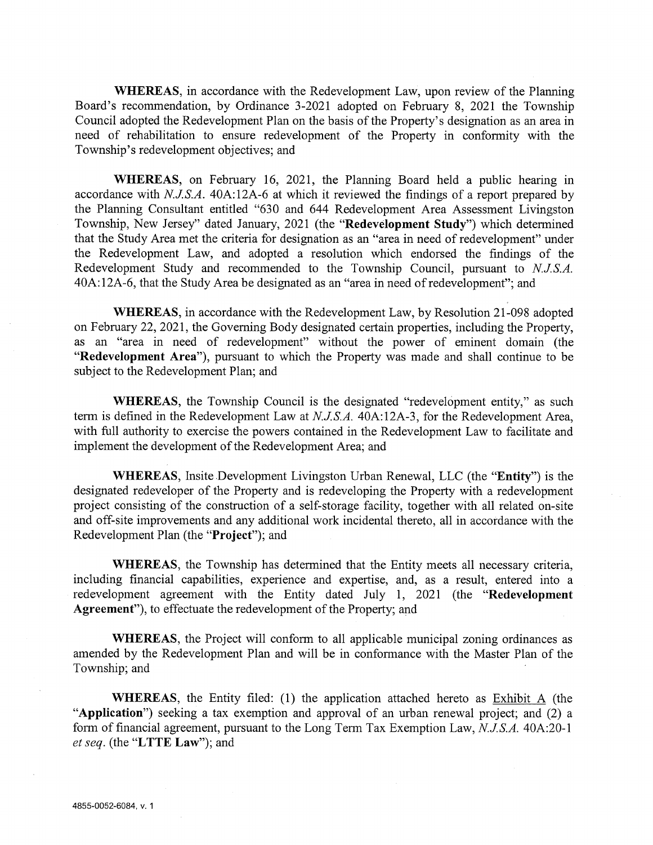WHEREAS, in accordance with the Redevelopment Law, upon review of the Planning Board's recommendation, by Ordinance 3-2021 adopted on February 8, 2021 the Township Council adopted the Redevelopment Plan on the basis of the Property's designation as an area in need of rehabilitation to ensure redevelopment of the Property in conformity with the Township's redevelopment objectives; and

WHEREAS, on February 16, 2021, the Planning Board held a public hearing in accordance with N.JS.A. 40A:12A-6 at which it reviewed the findings of <sup>a</sup> report prepared by the Planning Consultant entitled "630 and 644 Redevelopment Area Assessment Livingston Township, New Jersey" dated January, 2021 (the "Redevelopment Study") which determined that the Study Area met the criteria for designation as an "area in need of redevelopment" under the Redevelopment Law, and adopted <sup>a</sup> resolution which endorsed the findings of the Redevelopment Study and recommended to the Township Council, pursuant to  $N.J.S.A.$ 40A: 12A-6, that the Study Area be designated as an "area in need of redevelopment"; and

WHEREAS, in accordance with the Redevelopment Law, by Resolution 21-098 adopted on February 22, 2021, the Governing Body designated certain properties, including the Property, as an "area in need of redevelopment" without the power of eminent domain (the "Redevelopment Area"), pursuant to which the Property was made and shall continue to be subject to the Redevelopment Plan; and

WHEREAS, the Township Council is the designated "redevelopment entity," as such term is defined in the Redevelopment Law at N.J.S.A. 40A:12A-3, for the Redevelopment Area, with full authority to exercise the powers contained in the Redevelopment Law to facilitate and implement the development of the Redevelopment Area; and

WHEREAS, Insite Development Livingston Urban Renewal, LLC (the "Entity") is the designated redeveloper of the Property and is redeveloping the Property with <sup>a</sup> redevelopment project consisting of the construction of <sup>a</sup> self-storage facility, together with all related on-site and off-site improvements and any additional work incidental thereto, all in accordance with the Redevelopment Plan (the "Project"); and

WHEREAS, the Township has determined that the Entity meets all necessary criteria, including financial capabilities, experience and expertise, and, as a result, entered into a redevelopment agreement with the Entity dated July 1, 2021 (the "Redevelopment Agreement"), to effectuate the redevelopment of the Property; and

WHEREAS, the Project will conform to all applicable municipal zoning ordinances as amended by the Redevelopment Plan and will be in conformance with the Master Plan of the Township; and

WHEREAS, the Entity filed: (1) the application attached hereto as Exhibit A (the "Application") seeking <sup>a</sup> tax exemption and approval of an urban renewal project; and (2) <sup>a</sup> form of financial agreement, pursuant to the Long Term Tax Exemption Law, N.J.S.A. 40A:20-1 et seq. (the "LTTE Law"); and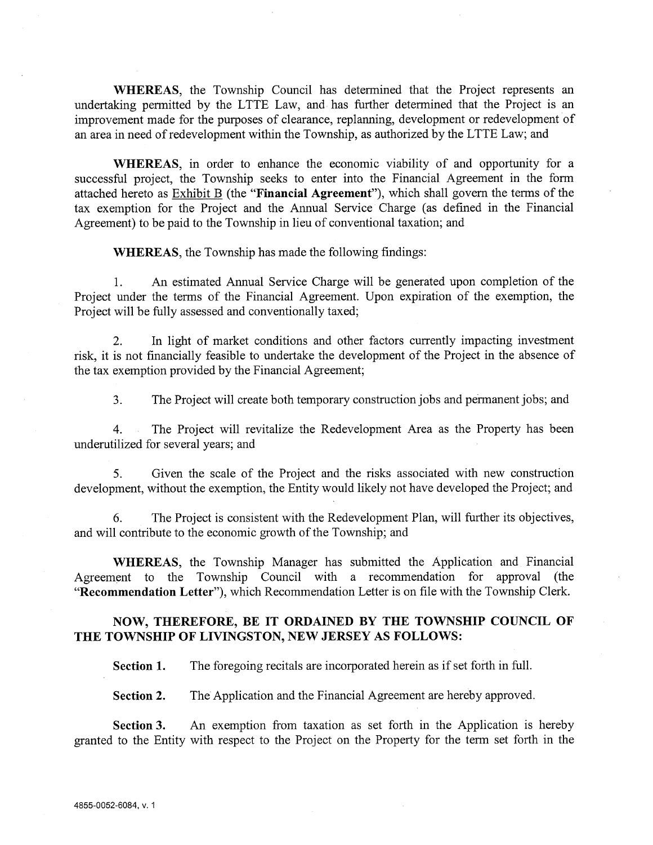WHEREAS, the Township Council has determined that the Project represents an undertaking permitted by the LTTE Law, and has further determined that the Project is an improvement made for the purposes of clearance, replanning, development or redevelopment of an area in need of redevelopment within the Township, as authorized by the LTTE Law; and

WHEREAS, in order to enhance the economic viability of and opportunity for <sup>a</sup> successful project, the Township seeks to enter into the Financial Agreement in the form attached hereto as Exhibit B (the "Financial Agreement"), which shall govern the terms of the tax exemption for the Project and the Annual Service Charge (as defined in the Financial Agreement) to be paid to the Township in lieu of conventional taxation; and

WHEREAS, the Township has made the following findings:

1. An estimated Annual Service Charge will be generated upon completion of the Project under the terms of the Financial Agreement. Upon expiration of the exemption, the Project will be fully assessed and conventionally taxed;

2. In light of market conditions and other factors currently impacting investment risk, it is not financially feasible to undertake the development of the Project in the absence of the tax exemption provided by the Financial Agreement;

3. The Project will create both temporary construction jobs and permanent jobs; and

4. The Project will revitalize the Redevelopment Area as the Property has been underutilized for several years; and

5. Given the scale of the Project and the risks associated with new construction development, without the exemption, the Entity would likely not have developed the Project; and

6. The Project is consistent with the Redevelopment Plan, will further its objectives, and will contribute to the economic growth of the Township; and

WHEREAS, the Township Manager has submitted the Application and Financial Agreement to the Township Council with a recommendation for approval (the "Recommendation Letter"), which Recommendation Letter is on file with the Township Clerk.

#### NOW, THEREFORE, BE IT ORDAINED BY THE TOWNSHIP COUNCIL OF THE TOWNSHIP OF LIVINGSTON, NEW JERSEY AS FOLLOWS:

Section 1. The foregoing recitals are incorporated herein as if set forth in full.

Section 2. The Application and the Financial Agreement are hereby approved.

Section 3. An exemption from taxation as set forth in the Application is hereby granted to the Entity with respect to the Project on the Property for the term set forth in the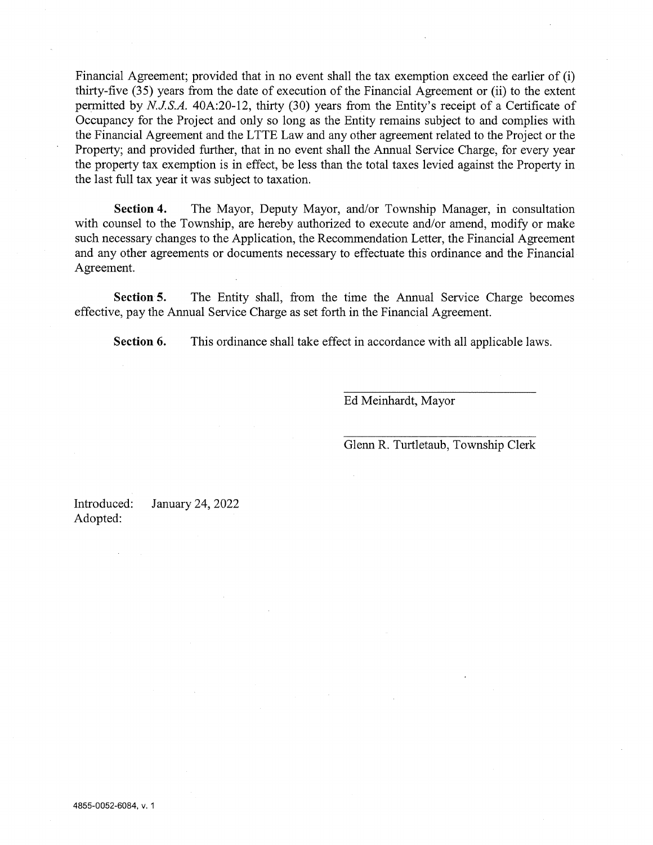Financial Agreement; provided that in no event shall the tax exemption exceed the earlier of (i) thirty-five (35) years from the date of execution of the Financial Agreement or (ii) to the extent permitted by NJS.A. 40A:20-12, thirty (30) years from the Entity's receipt of <sup>a</sup> Certificate of Occupancy for the Project and only so long as the Entity remains subject to and complies with the Financial Agreement and the LTTE Law and any other agreement related to the Project or the Property; and provided further, that in no event shall the Annual Service Charge, for every year the property tax exemption is in effect, be less than the total taxes levied against the Property in the last full tax year it was subject to taxation.

Section 4. The Mayor, Deputy Mayor, and/or Township Manager, in consultation with counsel to the Township, are hereby authorized to execute and/or amend, modify or make such necessary changes to the Application, the Recommendation Letter, the Financial Agreement and any other agreements or documents necessary to effectuate this ordinance and the Financial Agreement.

Section 5. The Entity shall, from the time the Annual Service Charge becomes effective, pay the Annual Service Charge as set forth in the Financial Agreement.

Section 6. This ordinance shall take effect in accordance with all applicable laws.

Ed Meinhardt, Mayor

Glenn R. Turtletaub, Township Clerk

Introduced: January 24, 2022 Adopted: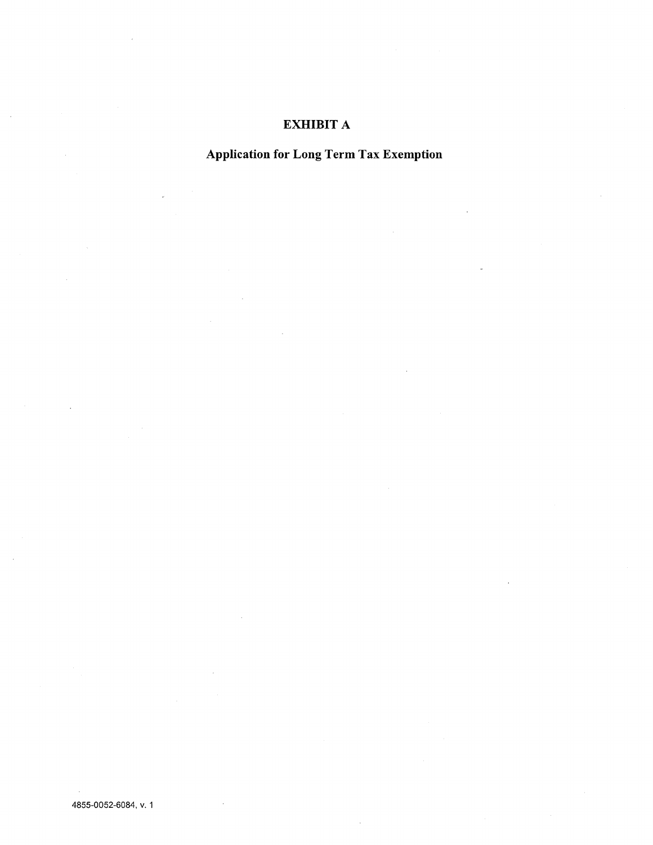# EXHIBIT A

Application for Long Term Tax Exemption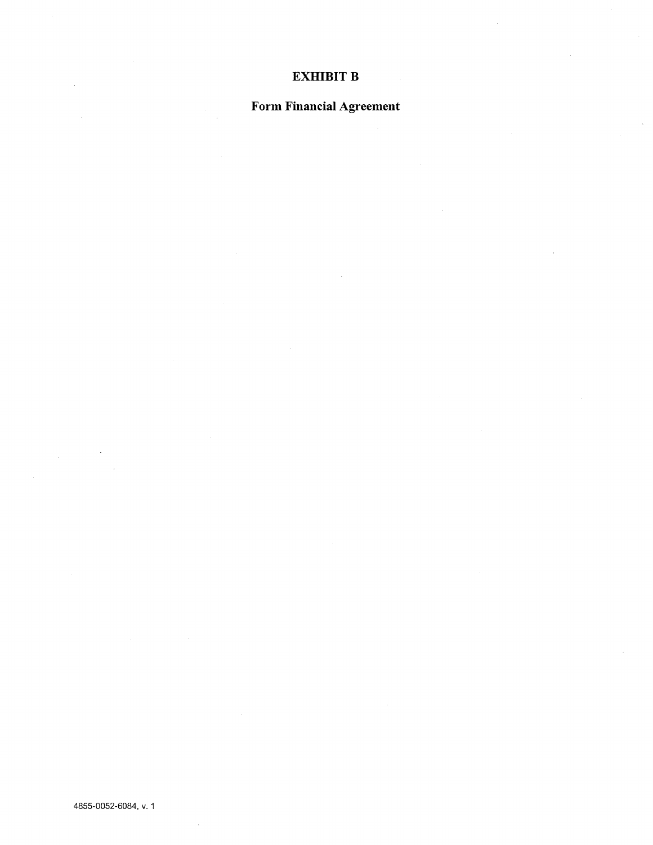### EXHIBIT B

# Form Financial Agreement

4855~OO52-6O84, v. <sup>1</sup>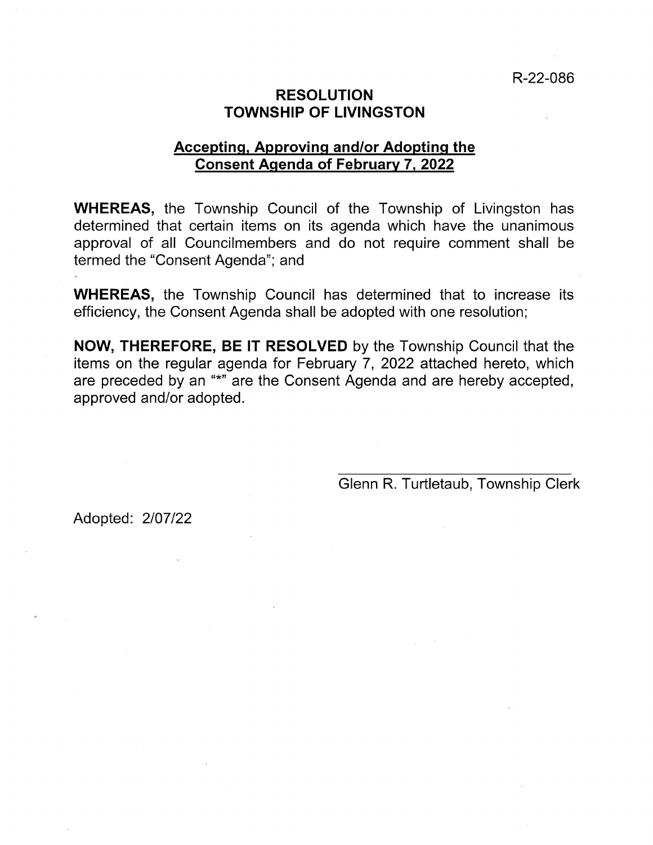# RESOLUTION TOWNSHIP OF LIVINGSTON

# Accepting, Approving and/or Adopting the Consent Agenda of February 7, 2022

WHEREAS, the Township Council of the Township of Livingston has determined that certain items on its agenda which have the unanimous approval of all Councilmembers and do not require comment shall be termed the "Consent Agenda"; and

WHEREAS, the Township Council has determined that to increase its efficiency, the Consent Agenda shall be adopted with one resolution;

NOW, THEREFORE, BE IT RESOLVED by the Township Council that the items on the regular agenda for February 7, 2022 attached hereto, which are preceded by an "\*" are the Consent Agenda and are hereby accepted, approved and/or adopted.

Glenn R. Turtletaub, Township Clerk

Adopted: 2/07/22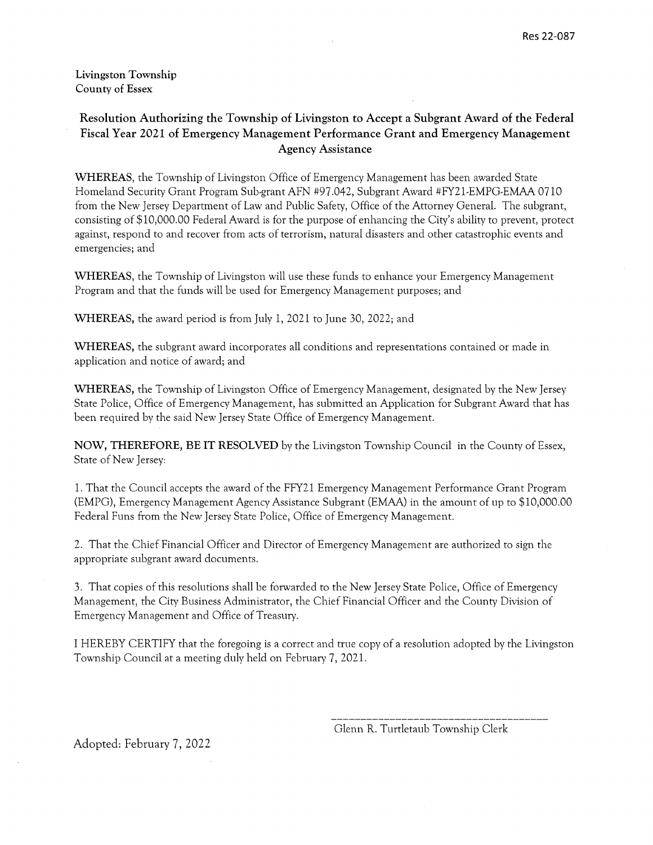Livingston Township County of Essex

#### Resolution Authorizing the Township of Livingston to Accept a Subgrant Award of the Federal Fiscal Year 2021 of Emergency Management Performance Grant and Emergency Management Agency Assistance

WHEREAS, the Township of Livingston Office of Emergency Management has been awarded State Homeland Security Grant Program Sub-grant AFN #97.042, Subgrant Award #FY21-EMPG-EMAA 0710 from the New Jersey Department of Law and Public Safety, Office of the Attorney General. The subgrant, consisting of \$10,000.00 Federal Award is for the purpose of enhancing the City's ability to prevent, protect against, respond to and recover from acts of terrorism, natural disasters and other catastrophic events and emergencies; and

WHEREAS, the Township of Livingston will use these funds to enhance your Emergency Management Program and that the funds will be used for Emergency Management purposes; and

WHEREAS, the award period is from July 1, 2021 to June 30, 2022; and

WHEREAS, the subgrant award incorporates all conditions and representations contained or made in application and notice of award; and

WHEREAS, the Township of Livingston Office of Emergency Management, designated by the New Jersey State Police, Office of Emergency Management, has submitted an Application for Subgrant Award that has been required by the said New Jersey State Office of Emergency Management.

NOW, THEREFORE, BE IT RESOLVED by the Livingston Township Council in the County of Essex, State of New Jersey:

1. That the Council accepts the award of the FFY2 <sup>1</sup> Emergency Management Performance Grant Program (EMPG), Emergency Management Agency Assistance Subgrant (EMAA) in the amount of up to \$10,000.00 Federal Funs from the New Jersey State Police, Office of Emergency Management.

2. That the Chief Financial Officer and Director of Emergency Management are authorized to sign the appropriate subgrant award documents.

3. That copies of this resolutions shall be forwarded to the New Jersey State Police, Office of Emergency Management, the City Business Administrator, the Chief Financial Officer and the County Division of Emergency Management and Office of Treasury.

I HEREBY CERTIFY that the foregoing is <sup>a</sup> correct and true copy of <sup>a</sup> resolution adopted by the Livingston Township Council at <sup>a</sup> meeting duly held on February 7, 2021.

Glenn R. Turtletaub Township Clerk

Adopted: February 7, 2022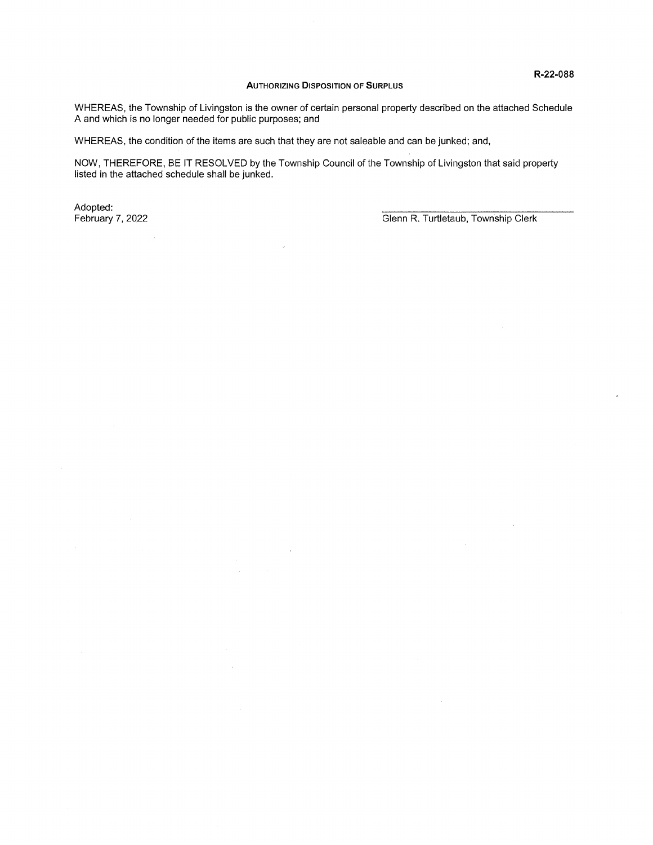#### AUTHORIZING DISPOSITION OF SURPLUS

WHEREAS, the Township of Livingston is the owner of certain personal property described on the attached Schedule A and which is no longer needed for public purposes; and

WHEREAS, the condition of the items are such that they are not saleable and can be junked; and,

 $\overline{\phantom{a}}$ 

NOW, THEREFORE, BE IT RESOLVED by the Township Council of the Township of Livingston that said property listed in the attached schedule shall be junked.

Adopted: \_\_\_\_\_\_\_\_\_\_\_\_\_\_\_\_\_\_\_\_\_\_\_\_\_\_\_\_\_\_\_\_\_\_\_\_\_

 $\bar{\mathcal{A}}$ 

February 7, 2022 **February 7, 2022** Glenn R. Turtletaub, Township Clerk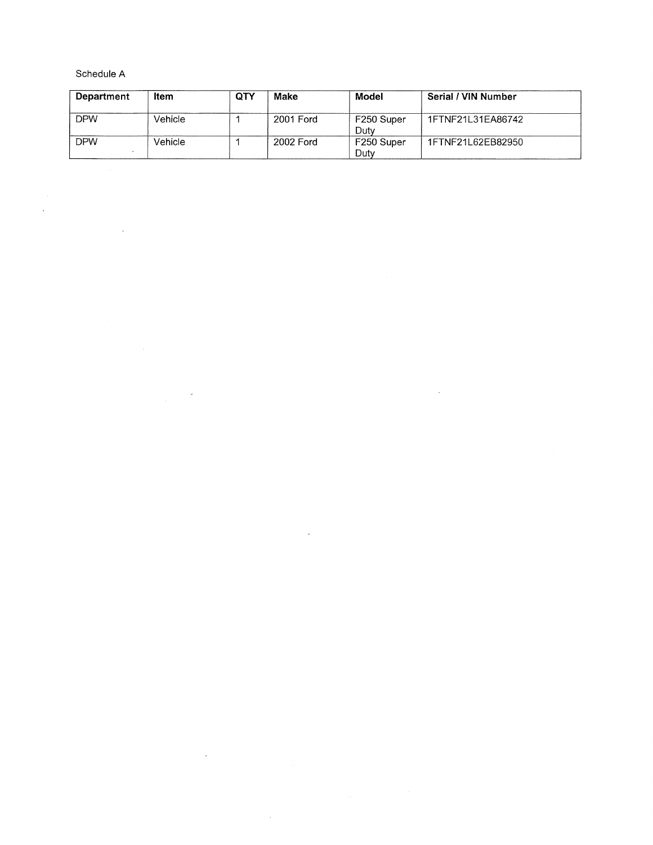Schedule A

 $\sim$ 

 $\ddot{\phantom{a}}$ 

 $\sim 10^7$ 

 $\bar{\gamma}$ 

 $\hat{\mathcal{A}}$ 

| <b>Department</b> | Item    | QTY | Make      | Model              | Serial / VIN Number |
|-------------------|---------|-----|-----------|--------------------|---------------------|
| <b>DPW</b>        | Vehicle |     | 2001 Ford | F250 Super<br>Dutv | 1FTNF21L31EA86742   |
| <b>DPW</b>        | Vehicle |     | 2002 Ford | F250 Super<br>Duty | 1FTNF21L62EB82950   |

 $\bar{z}$ 

 $\sim$   $\epsilon$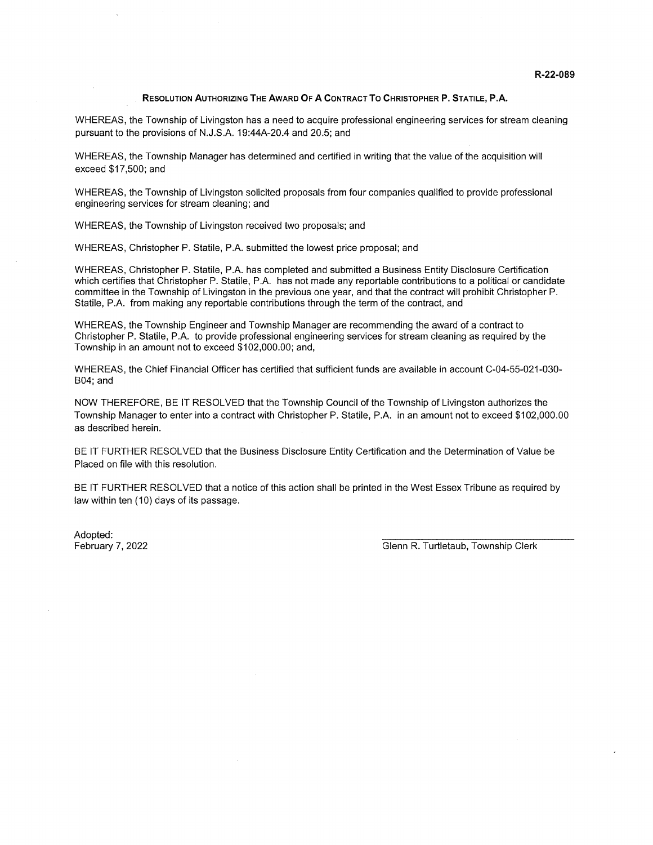#### RESOLUTION AUTHORIZING THE AWARD OF A CONTRACT To CHRISTOPHER P. STATILE, PA.

WHEREAS, the Township of Livingston has a need to acquire professional engineering services for stream cleaning pursuant to the provisions of N.J.S.A. 19:44A-20.4 and 20.5; and

WHEREAS, the Township Manager has determined and certified in writing that the value of the acquisition will exceed \$17,500; and

WHEREAS, the Township of Livingston solicited proposals from four companies qualified to provide professional engineering services for stream cleaning; and

WHEREAS, the Township of Livingston received two proposals; and

WHEREAS, Christopher P. Statile, P.A. submitted the lowest price proposal; and

WHEREAS, Christopher P. Statile, P.A. has completed and submitted a Business Entity Disclosure Certification which certifies that Christopher P. Statile, P.A. has not made any reportable contributions to a political or candidate committee in the Township of Livingston in the previous one year, and that the contract will prohibit Christopher P. Statile, P.A. from making any reportable contributions through the term of the contract, and

WHEREAS, the Township Engineer and Township Manager are recommending the award of a contract to Christopher P. Statile, P.A. to provide professional engineering services for stream cleaning as required by the Township in an amount not to exceed \$102,000.00; and,

WHEREAS, the Chief Financial Officer has certified that sufficient funds are available in account C-04-55-021-030- B04; and

NOW THEREFORE, BE IT RESOLVED that the Township Council of the Township of Livingston authorizes the Township Manager to enter into a contract with Christopher P. Statile, P.A. in an amount not to exceed \$102,000.00 as described herein.

BE IT FURTHER RESOLVED that the Business Disclosure Entity Certification and the Determination of Value be Placed on file with this resolution.

BE IT FURTHER RESOLVED that a notice of this action shall be printed in the West Essex Tribune as required by law within ten (10) days of its passage.

Adopted: \_\_\_\_\_\_\_\_\_\_\_\_\_\_\_\_\_\_\_\_\_\_\_\_\_\_\_\_\_\_\_\_\_\_\_\_\_\_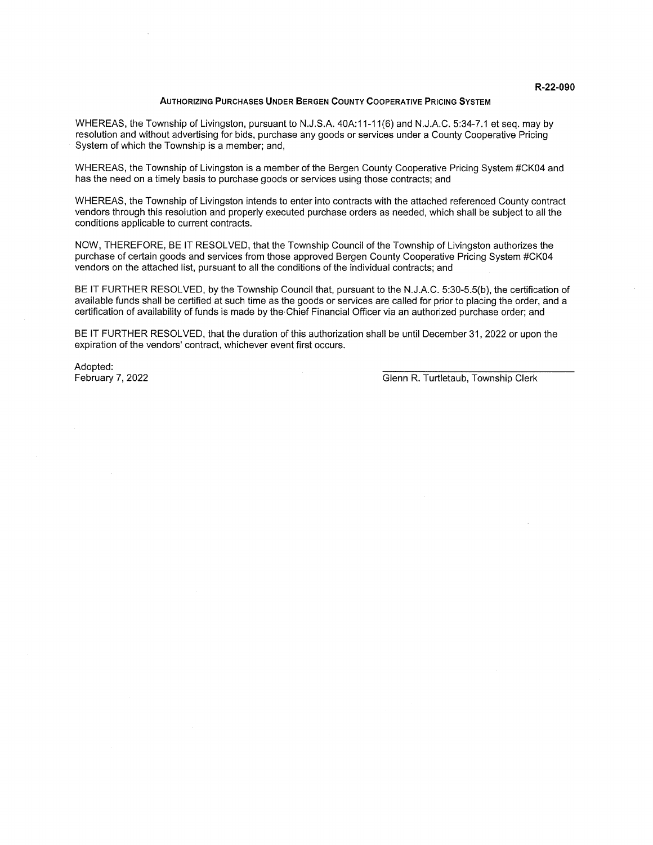#### AuTHoRIzING PuRcHAsEs UNDER BERGEN COUNTY COOPERATIVE PRICING SYSTEM

WHEREAS, the Township of Livingston, pursuant to N.J.S.A. 40A:11-11(6) and N.J.A.C. 5:34-7.1 et seq. may by resolution and without advertising for bids, purchase any goods or services under a County Cooperative Pricing System of which the Township is a member; and,

WHEREAS, the Township of Livingston is a member of the Bergen County Cooperative Pricing System #CK04 and has the need on a timely basis to purchase goods or services using those contracts; and

WHEREAS, the Township of Livingston intends to enter into contracts with the attached referenced County contract vendors through this resolution and properly executed purchase orders as needed, which shall be subject to all the conditions applicable to current contracts.

NOW, THEREFORE, BE IT RESOLVED, that the Township Council of the Township of Livingston authorizes the purchase of certain goods and services from those approved Bergen County Cooperative Pricing System #CKO4 vendors on the attached list, pursuant to all the conditions of the individual contracts; and

BE IT FURTHER RESOLVED, by the Township Council that, pursuant to the N.J.A.C. 5:30-5.5(b), the certification of available funds shall be certified at such time as the goods or services are called for prior to placing the order, and a certification of availability of funds is made by the Chief Financial Officer via an authorized purchase order; and

BE IT FURTHER RESOLVED, that the duration of this authorization shall be until December 31, 2022 or upon the expiration of the vendors' contract, whichever event first occurs.

Adopted: \_\_\_\_\_\_\_\_\_\_\_\_\_\_\_\_\_\_\_\_\_\_\_\_\_\_\_\_\_\_\_\_\_\_\_\_\_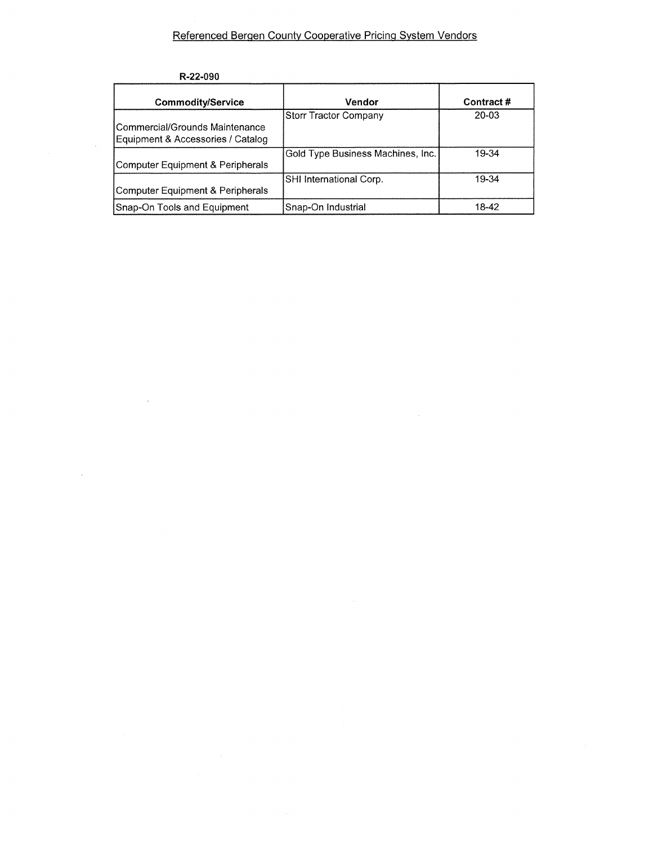### Referenced Bergen County Cooperative Pricing System Vendors

| R-22-090 |  |
|----------|--|
|----------|--|

 $\mathcal{L}$ 

| <b>Commodity/Service</b>                                              | Vendor                            | Contract# |
|-----------------------------------------------------------------------|-----------------------------------|-----------|
| l Commercial/Grounds Maintenance<br>Equipment & Accessories / Catalog | Storr Tractor Company             | $20 - 03$ |
| Computer Equipment & Peripherals                                      | Gold Type Business Machines, Inc. | 19-34     |
| Computer Equipment & Peripherals                                      | SHI International Corp.           | 19-34     |
| Snap-On Tools and Equipment                                           | Snap-On Industrial                | 18-42     |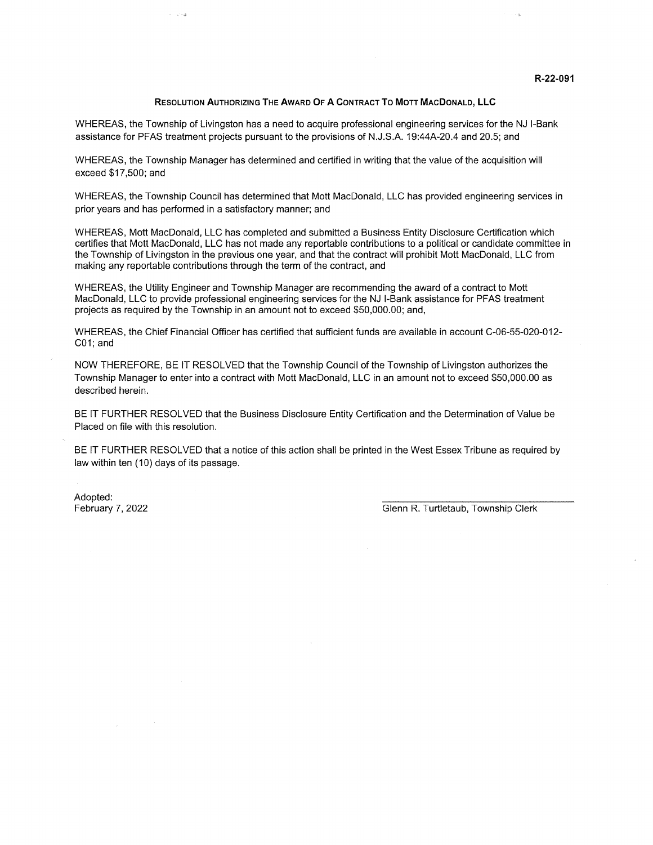#### R-22-091

#### REsoLuTION AUTHORIZING THE AWARD OF A CONTRACT To M0TT MACDONALD, LLC

WHEREAS, the Township of Livingston has a need to acquire professional engineering services for the NJ I-Bank assistance for PFAS treatment projects pursuant to the provisions of N.J.S.A. 19:44A-20.4 and 20.5; and

WHEREAS, the Township Manager has determined and certified in writing that the value of the acquisition will exceed \$17,500; and

WHEREAS, the Township Council has determined that Mott MacDonald, LLC has provided engineering services in prior years and has performed in a satisfactory manner; and

WHEREAS, Mott MacDonald, LLC has completed and submitted a Business Entity Disclosure Certification which certifies that Mott MacDonald, LLC has not made any reportable contributions to a political or candidate committee in the Township of Livingston in the previous one year, and that the contract will prohibit Mott MacDonald, LLC from making any reportable contributions through the term of the contract, and

WHEREAS, the Utility Engineer and Township Manager are recommending the award of a contract to Mott MacDonald, LLC to provide professional engineering services for the NJ I-Bank assistance for PFAS treatment projects as required by the Township in an amount not to exceed \$50,000.00; and,

WHEREAS, the Chief Financial Officer has certified that sufficient funds are available in account C-06-55-020-012- COl; and

NOW THEREFORE, BE IT RESOLVED that the Township Council of the Township of Livingston authorizes the Township Manager to enter into a contract with Mott MacDonald, LLC in an amount not to exceed \$50,000.00 as described herein.

BE IT FURTHER RESOLVED that the Business Disclosure Entity Certification and the Determination of Value be Placed on file with this resolution.

BE IT FURTHER RESOLVED that a notice of this action shall be printed in the West Essex Tribune as required by law within ten (10) days of its passage.

Adopted: \_\_\_\_\_\_\_\_\_\_\_\_\_\_\_\_\_\_\_\_\_\_\_\_\_\_\_\_\_\_\_\_\_\_\_\_\_\_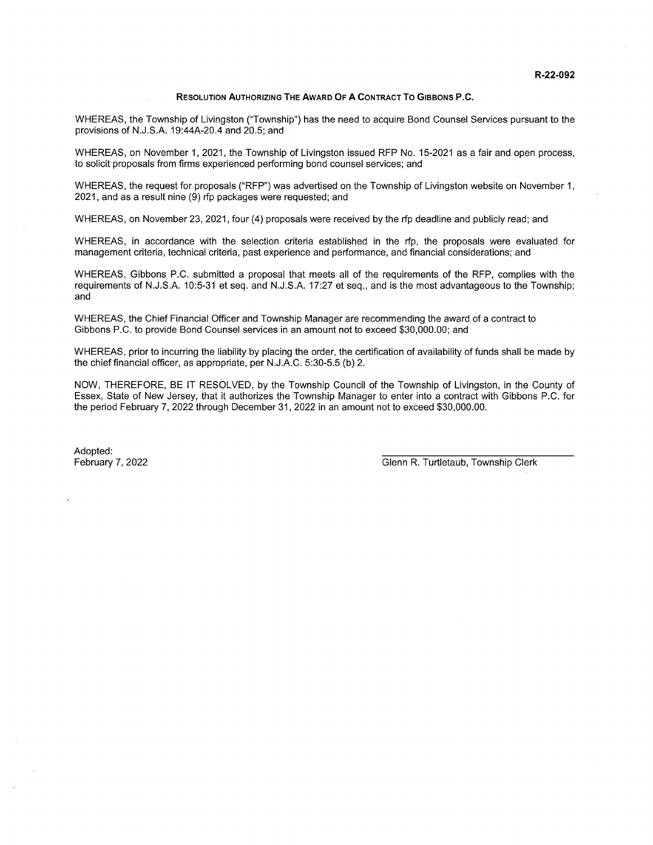#### RESOLUTION AUTHORIZING THE AWARD OF A CoNTRAcT To GIBBONs P.C.

WHEREAS, the Township of Livingston ('Township") has the need to acquire Bond Counsel Services pursuant to the provisions of N.J.S.A. 19:44A-20.4 and 20.5; and

WHEREAS, on November 1, 2021, the Township of Livingston issued RFP No. 15-2021 as a fair and open process, to solicit proposals from firms experienced performing bond counsel services; and

WHEREAS, the request for proposals ("REP") was advertised on the Township of Livingston website on November 1, 2021, and as a result nine (9) rfp packages were requested; and

WHEREAS, on November 23, 2021, four (4) proposals were received by the rip deadline and publicly read; and

WHEREAS, in accordance with the selection criteria established in the rip, the proposals were evaluated for management criteria, technical criteria, past experience and performance, and financial considerations; and

WHEREAS, Gibbons P.C. submitted a proposal that meets all of the requirements of the REP, complies with the requirements of N.J.S.A. 10:5-31 et seq. and N.J.S.A. 17:27 et seq., and is the most advantageous to the Township; and

WHEREAS, the Chief Einancial Officer and Township Manager are recommending the award of a contract to Gibbons P.C. to provide Bond Counsel services in an amount not to exceed \$30,000.00; and

WHEREAS, prior to incurring the liability by placing the order, the certification of availability of funds shall be made by the chief financial officer, as appropriate, per N.J.A.C. 5:30-5.5 (b) 2.

NOW, THEREEORE, BE IT RESOLVED, by the Township Council of the Township of Livingston, in the County of Essex, State of New Jersey, that it authorizes the Township Manager to enter into a contract with Gibbons P.C. for the period Eebruary 7, 2022 through December31, 2022 in an amount not to exceed \$30,000.00.

Adopted: \_\_\_\_\_\_\_\_\_\_\_\_\_\_\_\_\_\_\_\_\_\_\_\_\_\_\_\_\_\_\_\_\_\_\_\_\_\_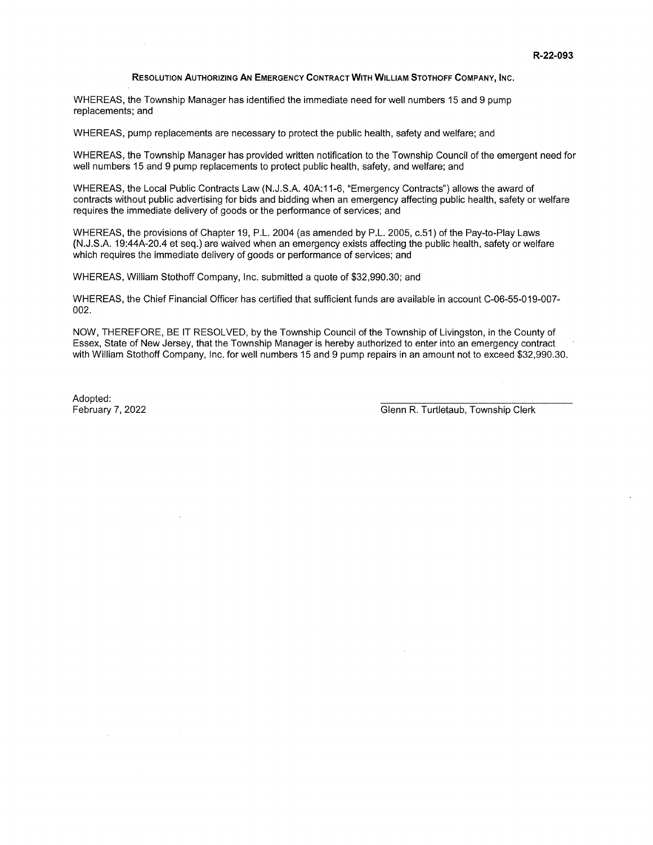#### REsoLuTIoN AuTHoRIzING AN EMERGENCY CONTRACT WITH WILLIAM ST0TH0FF COMPANY, INC.

WHEREAS, the Township Manager has identified the immediate need for well numbers 15 and 9 pump replacements; and

WHEREAS, pump replacements are necessary to protect the public health, safety and welfare; and

WHEREAS, the Township Manager has provided written notification to the Township Council of the emergent need for well numbers 15 and 9 pump replacements to protect public health, safety, and welfare; and

WHEREAS, the Local Public Contracts Law (N.J.S.A. 40A:1 1-6, "Emergency Contracts") allows the award of contracts without public advertising for bids and bidding when an emergency affecting public health, safety or welfare requires the immediate delivery of goods or the performance of services; and

WHEREAS, the provisions of Chapter 19, P.L. 2004 (as amended by P.L. 2005, c.51) of the Pay-to-Play Laws (N.J.S.A. 19:44A-20.4 et seq.) are waived when an emergency exists affecting the public health, safety or welfare which requires the immediate delivery of goods or performance of services; and

WHEREAS, William Stothoff Company, Inc. submitted a quote of \$32,990.30; and

WHEREAS, the Chief Financial Officer has certified that sufficient funds are available in account C-06-55-019-007- 002.

NOW, THEREFORE, BE IT RESOLVED, by the Township Council of the Township of Livingston, in the County of Essex, State of New Jersey, that the Township Manager is hereby authorized to enter into an emergency contract with William Stothoff Company, Inc. for well numbers 15 and 9 pump repairs in an amount not to exceed \$32,990.30.

Adopted: \_\_\_\_\_\_\_\_\_\_\_\_\_\_\_\_\_\_\_\_\_\_\_\_\_\_\_\_\_\_\_\_\_\_\_\_\_\_